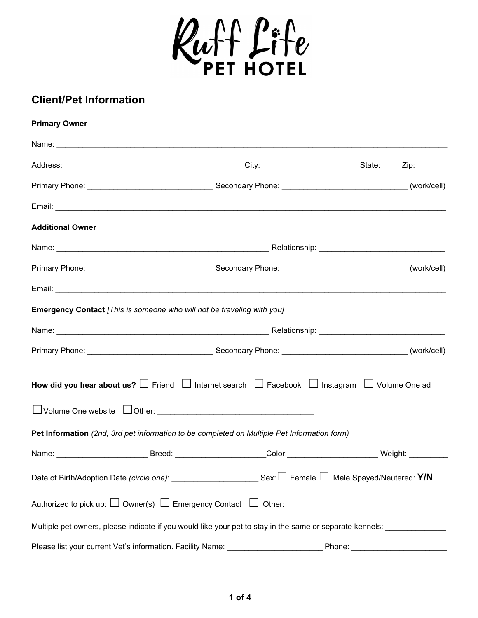

## **Client/Pet Information**

| <b>Primary Owner</b>    |                                                                                                                       |        |
|-------------------------|-----------------------------------------------------------------------------------------------------------------------|--------|
|                         |                                                                                                                       |        |
|                         |                                                                                                                       |        |
|                         |                                                                                                                       |        |
|                         |                                                                                                                       |        |
| <b>Additional Owner</b> |                                                                                                                       |        |
|                         |                                                                                                                       |        |
|                         |                                                                                                                       |        |
|                         |                                                                                                                       |        |
|                         | Emergency Contact [This is someone who will not be traveling with you]                                                |        |
|                         |                                                                                                                       |        |
|                         |                                                                                                                       |        |
|                         | How did you hear about us? $\Box$ Friend $\Box$ Internet search $\Box$ Facebook $\Box$ Instagram $\Box$ Volume One ad |        |
|                         | Pet Information (2nd, 3rd pet information to be completed on Multiple Pet Information form)                           |        |
|                         | Name: _________________________Breed: _____________________Color:________________________Weight: ____________         |        |
|                         | Date of Birth/Adoption Date (circle one): ____________________________Sex: □ Female □ Male Spayed/Neutered: Y/N       |        |
|                         |                                                                                                                       |        |
|                         | Multiple pet owners, please indicate if you would like your pet to stay in the same or separate kennels:              |        |
|                         | Please list your current Vet's information. Facility Name: _____________________                                      | Phone: |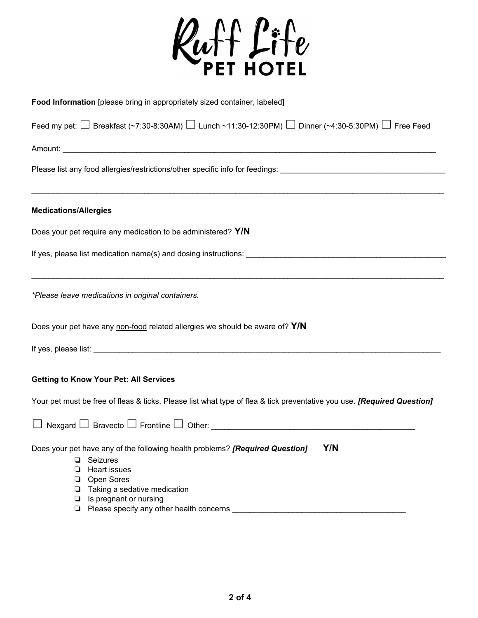

| Food Information [please bring in appropriately sized container, labeled]                                               |
|-------------------------------------------------------------------------------------------------------------------------|
| Feed my pet: $\Box$ Breakfast (~7:30-8:30AM) $\Box$ Lunch ~11:30-12:30PM) $\Box$ Dinner (~4:30-5:30PM) $\Box$ Free Feed |
|                                                                                                                         |
| Please list any food allergies/restrictions/other specific info for feedings: ________________________________          |
| <b>Medications/Allergies</b>                                                                                            |
| Does your pet require any medication to be administered? Y/N                                                            |
| If yes, please list medication name(s) and dosing instructions:                                                         |
| *Please leave medications in original containers.                                                                       |
| Does your pet have any non-food related allergies we should be aware of? Y/N                                            |
|                                                                                                                         |
| <b>Getting to Know Your Pet: All Services</b>                                                                           |
| Your pet must be free of fleas & ticks. Please list what type of flea & tick preventative you use. [Required Question]  |
|                                                                                                                         |
| Does your pet have any of the following health problems? [Required Question]<br>Y/N                                     |
| Seizures<br>❏                                                                                                           |
| <b>Heart issues</b>                                                                                                     |
| Open Sores<br>❏<br>Taking a sedative medication<br>❏                                                                    |
| Is pregnant or nursing<br>❏                                                                                             |
|                                                                                                                         |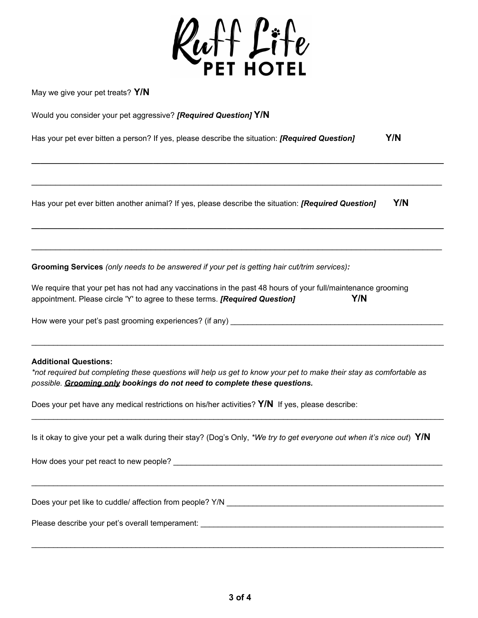

**\_\_\_\_\_\_\_\_\_\_\_\_\_\_\_\_\_\_\_\_\_\_\_\_\_\_\_\_\_\_\_\_\_\_\_\_\_\_\_\_\_\_\_\_\_\_\_\_\_\_\_\_\_\_\_\_\_\_\_\_\_\_\_\_\_\_\_\_\_\_\_\_\_\_\_\_\_\_\_\_\_\_\_\_\_\_\_\_\_\_\_\_\_\_\_**

\_\_\_\_\_\_\_\_\_\_\_\_\_\_\_\_\_\_\_\_\_\_\_\_\_\_\_\_\_\_\_\_\_\_\_\_\_\_\_\_\_\_\_\_\_\_\_\_\_\_\_\_\_\_\_\_\_\_\_\_\_\_\_\_\_\_\_\_\_\_\_\_\_\_\_\_\_\_\_\_\_\_\_\_\_\_

**\_\_\_\_\_\_\_\_\_\_\_\_\_\_\_\_\_\_\_\_\_\_\_\_\_\_\_\_\_\_\_\_\_\_\_\_\_\_\_\_\_\_\_\_\_\_\_\_\_\_\_\_\_\_\_\_\_\_\_\_\_\_\_\_\_\_\_\_\_\_\_\_\_\_\_\_\_\_\_\_\_\_\_\_\_\_\_\_\_\_\_\_\_\_\_**

\_\_\_\_\_\_\_\_\_\_\_\_\_\_\_\_\_\_\_\_\_\_\_\_\_\_\_\_\_\_\_\_\_\_\_\_\_\_\_\_\_\_\_\_\_\_\_\_\_\_\_\_\_\_\_\_\_\_\_\_\_\_\_\_\_\_\_\_\_\_\_\_\_\_\_\_\_\_\_\_\_\_\_\_\_\_

May we give your pet treats? **Y/N**

|  |  | Would you consider your pet aggressive? [Required Question] Y/N |
|--|--|-----------------------------------------------------------------|
|--|--|-----------------------------------------------------------------|

| Has your pet ever bitten a person? If yes, please describe the situation: [Required Question] | Y/N |
|-----------------------------------------------------------------------------------------------|-----|
|                                                                                               |     |

Has your pet ever bitten another animal? If yes, please describe the situation: *[Required Question]* **Y/N**

**Grooming Services** *(only needs to be answered if your pet is getting hair cut/trim services):*

| We require that your pet has not had any vaccinations in the past 48 hours of your full/maintenance grooming |     |
|--------------------------------------------------------------------------------------------------------------|-----|
| appointment. Please circle 'Y' to agree to these terms. [Required Question]                                  | Y/N |

How were your pet's past grooming experiences? (if any) \_\_\_\_\_\_\_\_\_\_\_\_\_\_\_\_\_\_\_\_\_\_\_\_

## **Additional Questions:**

\*not required but completing these questions will help us get to know your pet to make their stay as comfortable as *possible. Grooming only bookings do not need to complete these questions.*

 $\_$  ,  $\_$  ,  $\_$  ,  $\_$  ,  $\_$  ,  $\_$  ,  $\_$  ,  $\_$  ,  $\_$  ,  $\_$  ,  $\_$  ,  $\_$  ,  $\_$  ,  $\_$  ,  $\_$  ,  $\_$  ,  $\_$  ,  $\_$  ,  $\_$  ,  $\_$  ,  $\_$  ,  $\_$  ,  $\_$  ,  $\_$  ,  $\_$  ,  $\_$  ,  $\_$  ,  $\_$  ,  $\_$  ,  $\_$  ,  $\_$  ,  $\_$  ,  $\_$  ,  $\_$  ,  $\_$  ,  $\_$  ,  $\_$  ,

Does your pet have any medical restrictions on his/her activities? **Y/N** If yes, please describe:

|  | Is it okay to give your pet a walk during their stay? (Dog's Only, *We try to get everyone out when it's nice out) Y/N |  |
|--|------------------------------------------------------------------------------------------------------------------------|--|
|  |                                                                                                                        |  |

 $\_$  ,  $\_$  ,  $\_$  ,  $\_$  ,  $\_$  ,  $\_$  ,  $\_$  ,  $\_$  ,  $\_$  ,  $\_$  ,  $\_$  ,  $\_$  ,  $\_$  ,  $\_$  ,  $\_$  ,  $\_$  ,  $\_$  ,  $\_$  ,  $\_$  ,  $\_$  ,  $\_$  ,  $\_$  ,  $\_$  ,  $\_$  ,  $\_$  ,  $\_$  ,  $\_$  ,  $\_$  ,  $\_$  ,  $\_$  ,  $\_$  ,  $\_$  ,  $\_$  ,  $\_$  ,  $\_$  ,  $\_$  ,  $\_$  ,

 $\_$  ,  $\_$  ,  $\_$  ,  $\_$  ,  $\_$  ,  $\_$  ,  $\_$  ,  $\_$  ,  $\_$  ,  $\_$  ,  $\_$  ,  $\_$  ,  $\_$  ,  $\_$  ,  $\_$  ,  $\_$  ,  $\_$  ,  $\_$  ,  $\_$  ,  $\_$  ,  $\_$  ,  $\_$  ,  $\_$  ,  $\_$  ,  $\_$  ,  $\_$  ,  $\_$  ,  $\_$  ,  $\_$  ,  $\_$  ,  $\_$  ,  $\_$  ,  $\_$  ,  $\_$  ,  $\_$  ,  $\_$  ,  $\_$  ,

 $\_$  ,  $\_$  ,  $\_$  ,  $\_$  ,  $\_$  ,  $\_$  ,  $\_$  ,  $\_$  ,  $\_$  ,  $\_$  ,  $\_$  ,  $\_$  ,  $\_$  ,  $\_$  ,  $\_$  ,  $\_$  ,  $\_$  ,  $\_$  ,  $\_$  ,  $\_$  ,  $\_$  ,  $\_$  ,  $\_$  ,  $\_$  ,  $\_$  ,  $\_$  ,  $\_$  ,  $\_$  ,  $\_$  ,  $\_$  ,  $\_$  ,  $\_$  ,  $\_$  ,  $\_$  ,  $\_$  ,  $\_$  ,  $\_$  ,

How does your pet react to new people? \_\_\_\_\_\_\_\_\_\_\_\_\_\_\_\_\_\_\_\_\_\_\_\_\_\_\_\_\_\_\_\_\_\_\_\_\_\_\_\_\_\_\_\_\_\_\_\_\_\_\_\_\_\_\_\_\_\_\_\_\_\_

Does your pet like to cuddle/ affection from people? Y/N \_\_\_\_\_\_\_\_\_\_\_\_\_\_\_\_\_\_\_\_\_\_\_\_\_\_\_\_\_\_\_\_\_\_\_\_\_\_\_\_\_\_\_\_\_\_\_\_\_\_

Please describe your pet's overall temperament: \_\_\_\_\_\_\_\_\_\_\_\_\_\_\_\_\_\_\_\_\_\_\_\_\_\_\_\_\_\_\_\_\_\_\_\_\_\_\_\_\_\_\_\_\_\_\_\_\_\_\_\_\_\_\_\_